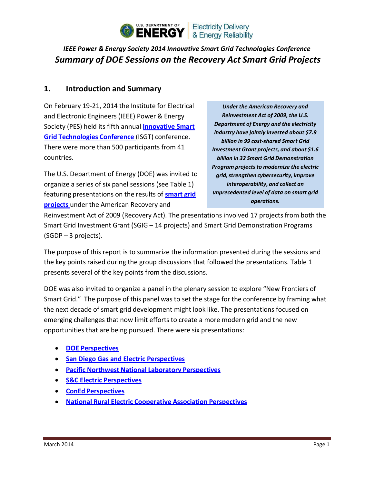

# *IEEE Power & Energy Society 2014 Innovative Smart Grid Technologies Conference Summary of DOE Sessions on the Recovery Act Smart Grid Projects*

#### **1. Introduction and Summary**

On February 19-21, 2014 the Institute for Electrical and Electronic Engineers (IEEE) Power & Energy Society (PES) held its fifth annual **[Innovative](http://ieee-isgt.org/) Smart Grid [Technologies](http://ieee-isgt.org/) Conference** (ISGT) conference. There were more than 500 participants from 41 countries.

The U.S. Department of Energy (DOE) was invited to organize a series of six panel sessions (see Table 1) featuring presentations on the results of **[smart](https://www.smartgrid.gov/recovery_act) grid [projects](https://www.smartgrid.gov/recovery_act)** under the American Recovery and

*Under the American Recovery and Reinvestment Act of 2009, the U.S. Department of Energy and the electricity industry have jointly invested about \$7.9 billion in 99 cost-shared Smart Grid Investment Grant projects, and about \$1.6 billion in 32 Smart Grid Demonstration* **Program projects to modernize the electric**  $grid$ , strengthen *cybersecurity*, *improve interoperability, and collect an unprecedented level of data on smart grid operations.*

Reinvestment Act of 2009 (Recovery Act). The presentations involved 17 projects from both the Smart Grid Investment Grant (SGIG – 14 projects) and Smart Grid Demonstration Programs (SGDP – 3 projects).

The purpose of this report is to summarize the information presented during the sessions and the key points raised during the group discussions that followed the presentations. Table 1 presents several of the key points from the discussions.

DOE was also invited to organize a panel in the plenary session to explore "New Frontiers of Smart Grid." The purpose of this panel was to set the stage for the conference by framing what the next decade of smart grid development might look like. The presentations focused on emerging challenges that now limit efforts to create a more modern grid and the new opportunities that are being pursued. There were six presentations:

- **DOE [Perspectives](http://sites.ieee.org/isgt2014/files/2014/03/Day1_Plenary_Henry-Kenchington.pdf)**
- **San Diego Gas and Electric [Perspectives](http://sites.ieee.org/isgt2014/files/2014/03/Day1_Plenary_Lee-Krevat.pdf)**
- **Pacific Northwest National Laboratory [Perspectives](http://sites.ieee.org/isgt2014/files/2014/03/Day1_Plenary_Steve-Widergren.pdf)**
- **S&C Electric [Perspectives](http://sites.ieee.org/isgt2014/files/2014/03/Day1_Plenary_Wanda-Reder.pdf)**
- **ConEd [Perspectives](http://sites.ieee.org/isgt2014/files/2014/03/Day1_Plenary_Tom-Magee.pdf)**
- **National Rural Electric Cooperative Association [Perspectives](http://sites.ieee.org/isgt2014/files/2014/03/Day1_Plenary_Craig-Miller.pdf)**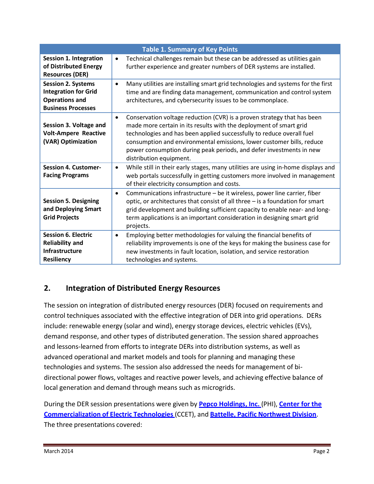| <b>Table 1. Summary of Key Points</b>                                                                          |                                                                                                                                                                                                                                                                                                                                                                                                                |  |  |  |  |
|----------------------------------------------------------------------------------------------------------------|----------------------------------------------------------------------------------------------------------------------------------------------------------------------------------------------------------------------------------------------------------------------------------------------------------------------------------------------------------------------------------------------------------------|--|--|--|--|
| <b>Session 1. Integration</b><br>of Distributed Energy<br><b>Resources (DER)</b>                               | Technical challenges remain but these can be addressed as utilities gain<br>$\bullet$<br>further experience and greater numbers of DER systems are installed.                                                                                                                                                                                                                                                  |  |  |  |  |
| <b>Session 2. Systems</b><br><b>Integration for Grid</b><br><b>Operations and</b><br><b>Business Processes</b> | Many utilities are installing smart grid technologies and systems for the first<br>$\bullet$<br>time and are finding data management, communication and control system<br>architectures, and cybersecurity issues to be commonplace.                                                                                                                                                                           |  |  |  |  |
| Session 3. Voltage and<br><b>Volt-Ampere Reactive</b><br>(VAR) Optimization                                    | Conservation voltage reduction (CVR) is a proven strategy that has been<br>$\bullet$<br>made more certain in its results with the deployment of smart grid<br>technologies and has been applied successfully to reduce overall fuel<br>consumption and environmental emissions, lower customer bills, reduce<br>power consumption during peak periods, and defer investments in new<br>distribution equipment. |  |  |  |  |
| <b>Session 4. Customer-</b><br><b>Facing Programs</b>                                                          | While still in their early stages, many utilities are using in-home displays and<br>$\bullet$<br>web portals successfully in getting customers more involved in management<br>of their electricity consumption and costs.                                                                                                                                                                                      |  |  |  |  |
| <b>Session 5. Designing</b><br>and Deploying Smart<br><b>Grid Projects</b>                                     | Communications infrastructure - be it wireless, power line carrier, fiber<br>$\bullet$<br>optic, or architectures that consist of all three - is a foundation for smart<br>grid development and building sufficient capacity to enable near- and long-<br>term applications is an important consideration in designing smart grid<br>projects.                                                                 |  |  |  |  |
| <b>Session 6. Electric</b><br><b>Reliability and</b><br>Infrastructure<br><b>Resiliency</b>                    | Employing better methodologies for valuing the financial benefits of<br>$\bullet$<br>reliability improvements is one of the keys for making the business case for<br>new investments in fault location, isolation, and service restoration<br>technologies and systems.                                                                                                                                        |  |  |  |  |

# **2. Integration of Distributed Energy Resources**

The session on integration of distributed energy resources (DER) focused on requirements and control techniques associated with the effective integration of DER into grid operations. DERs include: renewable energy (solar and wind), energy storage devices, electric vehicles (EVs), demand response, and other types of distributed generation. The session shared approaches and lessons-learned from efforts to integrate DERs into distribution systems, as well as advanced operational and market models and tools for planning and managing these technologies and systems. The session also addressed the needs for management of bidirectional power flows, voltages and reactive power levels, and achieving effective balance of local generation and demand through means such as microgrids.

During the DER session presentations were given by **Pepco [Holdings,](https://www.smartgrid.gov/sites/default/files/pdfs/project_desc/Pepco%20Maryland%20Project%20Description.pdf) Inc.** (PHI), **[Center](https://www.smartgrid.gov/sites/default/files/pdfs/project_desc/OE0000194_CCET_Fact%2520Sheet_3.0%5B1%5D.pdf) for the [Commercialization](https://www.smartgrid.gov/sites/default/files/pdfs/project_desc/OE0000194_CCET_Fact%2520Sheet_3.0%5B1%5D.pdf) of Electric Technologies** (CCET), and **Battelle, Pacific [Northwest](https://www.smartgrid.gov/sites/default/files/pdfs/project_desc/OE0000190_Battelle_Fact%2520Sheet_3.0%5B1%5D_0.pdf) Division**. The three presentations covered: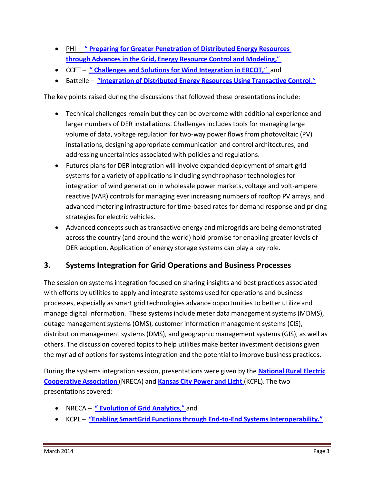- PHI " **Preparing for Greater [Penetration](http://sites.ieee.org/isgt2014/files/2014/03/Day1_Panel1A_Phi.pdf) of Distributed Energy Resources [through](http://sites.ieee.org/isgt2014/files/2014/03/Day1_Panel1A_Phi.pdf) Advances in the Grid, Energy Resource Control and [Modeling,](http://sites.ieee.org/isgt2014/files/2014/03/Day1_Panel1A_Phi.pdf)**"
- CCET **" Challenges and Solutions for Wind [Integration](http://sites.ieee.org/isgt2014/files/2014/03/Day1_Panel1A_Holloway.pdf) in ERCOT,**" and
- Battelle "**Integration of Distributed Energy Resources Using [Transactive](http://sites.ieee.org/isgt2014/files/2014/03/Day1_Panel1A_Melton.pdf) Control**."

The key points raised during the discussions that followed these presentations include:

- Technical challenges remain but they can be overcome with additional experience and larger numbers of DER installations. Challenges includes tools for managing large volume of data, voltage regulation for two-way power flows from photovoltaic (PV) installations, designing appropriate communication and control architectures, and addressing uncertainties associated with policies and regulations.
- Futures plans for DER integration will involve expanded deployment of smart grid systems for a variety of applications including synchrophasor technologies for integration of wind generation in wholesale power markets, voltage and volt-ampere reactive (VAR) controls for managing ever increasing numbers of rooftop PV arrays, and advanced metering infrastructure for time-based rates for demand response and pricing strategies for electric vehicles.
- Advanced concepts such as transactive energy and microgrids are being demonstrated across the country (and around the world) hold promise for enabling greater levels of DER adoption. Application of energy storage systems can play a key role.

# **3. Systems Integration for Grid Operations and Business Processes**

The session on systems integration focused on sharing insights and best practices associated with efforts by utilities to apply and integrate systems used for operations and business processes, especially as smart grid technologies advance opportunities to better utilize and manage digital information. These systems include meter data management systems (MDMS), outage management systems (OMS), customer information management systems (CIS), distribution management systems (DMS), and geographic management systems (GIS), as well as others. The discussion covered topics to help utilities make better investment decisions given the myriad of options for systems integration and the potential to improve business practices.

During the systems integration session, presentations were given by the **[National](https://www.smartgrid.gov/sites/default/files/pdfs/project_desc/OE0000222_NRECA_Fact%2520Sheet_3.0%5B1%5D.pdf) Rural Electric [Cooperative](https://www.smartgrid.gov/sites/default/files/pdfs/project_desc/OE0000222_NRECA_Fact%2520Sheet_3.0%5B1%5D.pdf) Association** (NRECA) and **[Kansas](https://www.smartgrid.gov/project/kansas_city_power_and_light_green_impact_zone_smartgrid_demonstration) City Power and Light** (KCPL). The two presentations covered:

- NRECA **" [Evolution](http://sites.ieee.org/isgt2014/files/2014/03/Day1_Panel1B_Craig.pdf) of Grid Analytics**," and
- KCPL **"Enabling SmartGrid [Functionsthrough](http://sites.ieee.org/isgt2014/files/2014/03/Day1_Panel1B_Ed.pdf) End-to-End Systems Interoperability."**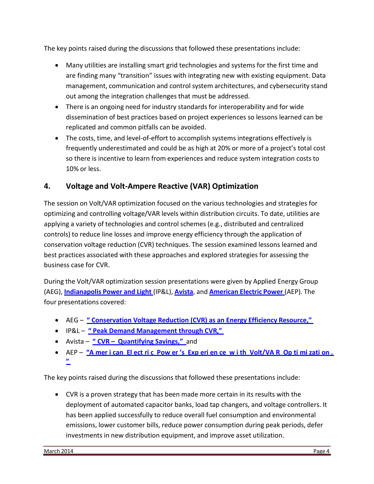The key points raised during the discussions that followed these presentations include:

- Many utilities are installing smart grid technologies and systems for the first time and are finding many "transition" issues with integrating new with existing equipment. Data management, communication and control system architectures, and cybersecurity stand out among the integration challenges that must be addressed.
- There is an ongoing need for industry standards for interoperability and for wide dissemination of best practices based on project experiences so lessons learned can be replicated and common pitfalls can be avoided.
- The costs, time, and level-of-effort to accomplish systems integrations effectively is frequently underestimated and could be as high at 20% or more of a project's total cost so there is incentive to learn from experiences and reduce system integration costs to 10% or less.

### **4. Voltage and Volt-Ampere Reactive (VAR) Optimization**

The session on Volt/VAR optimization focused on the various technologies and strategies for optimizing and controlling voltage/VAR levels within distribution circuits. To date, utilities are applying a variety of technologies and control schemes (e.g., distributed and centralized controls) to reduce line losses and improve energy efficiency through the application of conservation voltage reduction (CVR) techniques. The session examined lessons learned and best practices associated with these approaches and explored strategies for assessing the business case for CVR.

During the Volt/VAR optimization session presentations were given by Applied Energy Group (AEG), **[Indianapolis](https://www.smartgrid.gov/sites/default/files/pdfs/project_desc/09-0072-indianapolis-power-and-light-project-description-04-02-12.pdf) Power and Light** (IP&L), **[Avista](https://www.smartgrid.gov/sites/default/files/pdfs/cbs/09-0215-avista-project-description-06-13-2012.pdf)**, and **[American](https://www.smartgrid.gov/sites/default/files/pdfs/project_desc/OE0000193_AEP_Fact%20Sheet_3.0.pdf) Electric Power** (AEP). The four presentations covered:

- AEG **" [Conservation](http://sites.ieee.org/isgt2014/files/2014/03/Day1_Panel1C_KWarner.pdf) Voltage Reduction (CVR) as an Energy Efficiency Resource,"**
- IP&L **" Peak Demand [Management](http://sites.ieee.org/isgt2014/files/2014/03/Day1_Panel1C_Soller.pdf) through CVR,"**
- Avista **" CVR – [Quantifying](http://sites.ieee.org/isgt2014/files/2014/03/Day1_Panel1C_Gibson.pdf) Savings,"** and
- AEP **"A mer i can El ect ri c Pow er 's Exp eri en ce [w i th Volt/VA R Op ti](http://sites.ieee.org/isgt2014/files/2014/03/Day1_Panel1C_Weaver.pdf) mi zati on . ["](http://sites.ieee.org/isgt2014/files/2014/03/Day1_Panel1C_Weaver.pdf)**

The key points raised during the discussions that followed these presentations include:

 CVR is a proven strategy that has been made more certain in its results with the deployment of automated capacitor banks, load tap changers, and voltage controllers. It has been applied successfully to reduce overall fuel consumption and environmental emissions, lower customer bills, reduce power consumption during peak periods, defer investments in new distribution equipment, and improve asset utilization.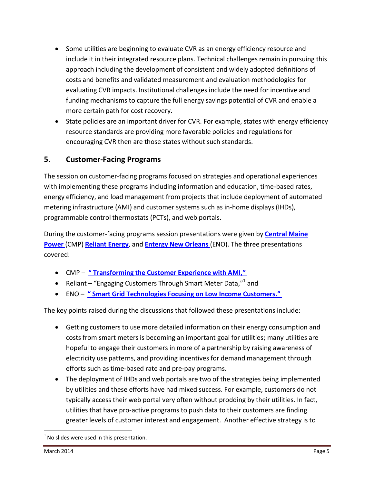- Some utilities are beginning to evaluate CVR as an energy efficiency resource and include it in their integrated resource plans. Technical challenges remain in pursuing this approach including the development of consistent and widely adopted definitions of costs and benefits and validated measurement and evaluation methodologies for evaluating CVR impacts. Institutional challenges include the need for incentive and funding mechanisms to capture the full energy savings potential of CVR and enable a more certain path for cost recovery.
- State policies are an important driver for CVR. For example, states with energy efficiency resource standards are providing more favorable policies and regulations for encouraging CVR then are those states without such standards.

#### **5. Customer-Facing Programs**

The session on customer-facing programs focused on strategies and operational experiences with implementing these programs including information and education, time-based rates, energy efficiency, and load management from projects that include deployment of automated metering infrastructure (AMI) and customer systems such as in-home displays (IHDs), programmable control thermostats (PCTs), and web portals.

During the customer-facing programs session presentations were given by **[Central](https://www.smartgrid.gov/sites/default/files/pdfs/project_desc/09-0232%20Central%20Maine%20Power%20Co%20Project%20Description.pdf) Maine [Power](https://www.smartgrid.gov/sites/default/files/pdfs/project_desc/09-0232%20Central%20Maine%20Power%20Co%20Project%20Description.pdf)** (CMP) **[Reliant](https://www.smartgrid.gov/sites/default/files/pdfs/project_desc/Reliant%20ProjectDescription.pdf) Energy**, and **Entergy New [Orleans](https://www.smartgrid.gov/sites/default/files/pdfs/project_desc/09-0090-entergy-new-orleans-06-08-2012.pdf)** (ENO). The three presentations covered:

- CMP **" [Transforming](http://sites.ieee.org/isgt2014/files/2014/03/Day2_Panel1A_LaneyBrown.pdf) the Customer Experience with AMI,"**
- Reliant "Engaging Customers Through Smart Meter Data," $1$  and
- ENO **" Smart Grid [Technologies](http://sites.ieee.org/isgt2014/files/2014/03/Day2_Panel1A_BrandiSchmitt.pdf) Focusing on Low Income Customers."**

The key points raised during the discussions that followed these presentations include:

- Getting customers to use more detailed information on their energy consumption and costs from smart meters is becoming an important goal for utilities; many utilities are hopeful to engage their customers in more of a partnership by raising awareness of electricity use patterns, and providing incentives for demand management through efforts such as time-based rate and pre-pay programs.
- The deployment of IHDs and web portals are two of the strategies being implemented by utilities and these efforts have had mixed success. For example, customers do not typically access their web portal very often without prodding by their utilities. In fact, utilities that have pro-active programs to push data to their customers are finding greater levels of customer interest and engagement. Another effective strategy is to

 $1$  No slides were used in this presentation.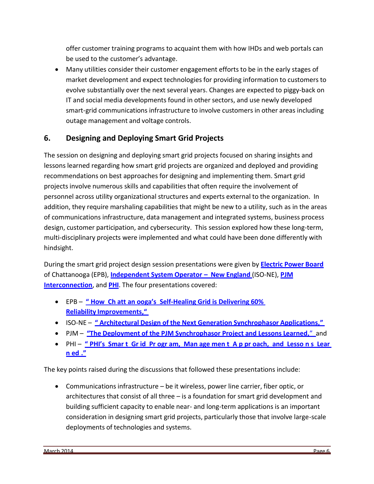offer customer training programs to acquaint them with how IHDs and web portals can be used to the customer's advantage.

 Many utilities consider their customer engagement efforts to be in the early stages of market development and expect technologies for providing information to customers to evolve substantially over the next several years. Changes are expected to piggy-back on IT and social media developments found in other sectors, and use newly developed smart-grid communications infrastructure to involve customers in other areas including outage management and voltage controls.

# **6. Designing and Deploying Smart Grid Projects**

The session on designing and deploying smart grid projects focused on sharing insights and lessons learned regarding how smart grid projects are organized and deployed and providing recommendations on best approaches for designing and implementing them. Smart grid projects involve numerous skills and capabilities that often require the involvement of personnel across utility organizational structures and experts external to the organization. In addition, they require marshaling capabilities that might be new to a utility, such as in the areas of communications infrastructure, data management and integrated systems, business process design, customer participation, and cybersecurity. This session explored how these long-term, multi-disciplinary projects were implemented and what could have been done differently with hindsight.

During the smart grid project design session presentations were given by **[Electric](https://www.smartgrid.gov/sites/default/files/pdfs/project_desc/09-0216-epb-project-description-06-13-2012.pdf) Power Board** of Chattanooga (EPB), **[Independent](https://www.smartgrid.gov/sites/default/files/pdfs/project_desc/09-0206-iso-ne-project-description-05-19-11.pdf) System Operator – New England** (ISO-NE), **[PJM](https://www.smartgrid.gov/sites/default/files/pdfs/project_desc/09-0307-pjm-project-description-06-14-12.pdf) [Interconnection](https://www.smartgrid.gov/sites/default/files/pdfs/project_desc/09-0307-pjm-project-description-06-14-12.pdf)**, and **[PHI](https://www.smartgrid.gov/project/potomac_electric_power_company_maryland_smart_grid_project)**. The four presentations covered:

- EPB **" How Ch att an ooga's [Self-Healing](http://sites.ieee.org/isgt2014/files/2014/03/Day2_Panel1B_Glass.pdf) Grid is Delivering 60% [Reliability](http://sites.ieee.org/isgt2014/files/2014/03/Day2_Panel1B_Glass.pdf) [Improvements,](http://sites.ieee.org/isgt2014/files/2014/03/Day2_Panel1B_Glass.pdf)"**
- ISO-NE **" Architectural Design of the Next Generation [Synchrophasor](http://sites.ieee.org/isgt2014/files/2014/03/Day2_Panel1B_Zhang.pdf) Applications,"**
- PJM **"The Deployment of the PJM [Synchrophasor](http://sites.ieee.org/isgt2014/files/2014/03/Day2_Panel1B_Liu.pdf) Project and Lessons Learned,**" and
- PHI **" PHI's Smar t Gr id Pr ogr am, Man age men t A [p pr oach, and Lesso n s](http://sites.ieee.org/isgt2014/files/2014/03/Day2_Panel1B_PHI_Lefkowitz_Shoemaker.pdf) Lear [n ed](http://sites.ieee.org/isgt2014/files/2014/03/Day2_Panel1B_PHI_Lefkowitz_Shoemaker.pdf) ."**

The key points raised during the discussions that followed these presentations include:

 Communications infrastructure – be it wireless, power line carrier, fiber optic, or architectures that consist of all three – is a foundation for smart grid development and building sufficient capacity to enable near- and long-term applications is an important consideration in designing smart grid projects, particularly those that involve large-scale deployments of technologies and systems.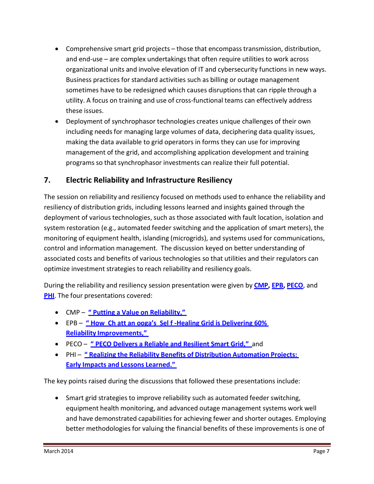- Comprehensive smart grid projects those that encompass transmission, distribution, and end-use – are complex undertakings that often require utilities to work across organizational units and involve elevation of IT and cybersecurity functions in new ways. Business practices for standard activities such as billing or outage management sometimes have to be redesigned which causes disruptions that can ripple through a utility. A focus on training and use of cross-functional teams can effectively address these issues.
- Deployment of synchrophasor technologies creates unique challenges of their own including needs for managing large volumes of data, deciphering data quality issues, making the data available to grid operators in forms they can use for improving management of the grid, and accomplishing application development and training programs so that synchrophasor investments can realize their full potential.

### **7. Electric Reliability and Infrastructure Resiliency**

The session on reliability and resiliency focused on methods used to enhance the reliability and resiliency of distribution grids, including lessons learned and insights gained through the deployment of various technologies, such as those associated with fault location, isolation and system restoration (e.g., automated feeder switching and the application of smart meters), the monitoring of equipment health, islanding (microgrids), and systems used for communications, control and information management. The discussion keyed on better understanding of associated costs and benefits of various technologies so that utilities and their regulators can optimize investment strategies to reach reliability and resiliency goals.

During the reliability and resiliency session presentation were given by **[CMP,](https://www.smartgrid.gov/sites/default/files/pdfs/project_desc/09-0232%20Central%20Maine%20Power%20Co%20Project%20Description.pdf) [EPB,](https://www.smartgrid.gov/sites/default/files/pdfs/project_desc/09-0216-epb-project-description-06-13-2012.pdf) [PECO](https://www.smartgrid.gov/sites/default/files/pdfs/project_desc/PECO%20Project%20Description.pdf)**, and **[PHI](https://www.smartgrid.gov/sites/default/files/pdfs/project_desc/Pepco%20DC%20Project%20Description.pdf)**. The four presentations covered:

- CMP **" Putting a Value on [Reliability,](http://sites.ieee.org/isgt2014/files/2014/03/Day2_Panel1C_Laney_Brown.pdf)"**
- EPB **" How Ch att an ooga's Sel f -Healing Grid is [Delivering](http://sites.ieee.org/isgt2014/files/2014/03/Day2_Panel1C_Glass.pdf) 60% [Reliability](http://sites.ieee.org/isgt2014/files/2014/03/Day2_Panel1C_Glass.pdf) [Improvements,](http://sites.ieee.org/isgt2014/files/2014/03/Day2_Panel1C_Glass.pdf)"**
- PECO **" PECO Delivers a Reliable and [Resilient](http://sites.ieee.org/isgt2014/files/2014/03/Day2_Panel1C_Pritchard.pdf) Smart Grid,"** and
- PHI **" Realizing the Reliability Benefits of Distribution [Automation](http://sites.ieee.org/isgt2014/files/2014/03/Day2_Panel1C_LoPorto.pdf) Projects: [Early](http://sites.ieee.org/isgt2014/files/2014/03/Day2_Panel1C_LoPorto.pdf) Impacts and Lessons [Learned.](http://sites.ieee.org/isgt2014/files/2014/03/Day2_Panel1C_LoPorto.pdf)"**

The key points raised during the discussions that followed these presentations include:

• Smart grid strategies to improve reliability such as automated feeder switching, equipment health monitoring, and advanced outage management systems work well and have demonstrated capabilities for achieving fewer and shorter outages. Employing better methodologies for valuing the financial benefits of these improvements is one of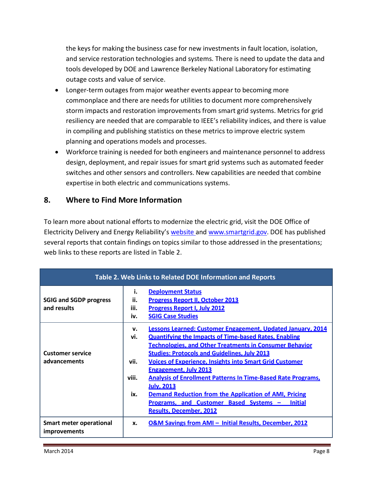the keys for making the business case for new investments in fault location, isolation, and service restoration technologies and systems. There is need to update the data and tools developed by DOE and Lawrence Berkeley National Laboratory for estimating outage costs and value of service.

- Longer-term outages from major weather events appear to becoming more commonplace and there are needs for utilities to document more comprehensively storm impacts and restoration improvements from smart grid systems. Metrics for grid resiliency are needed that are comparable to IEEE's reliability indices, and there is value in compiling and publishing statistics on these metrics to improve electric system planning and operations models and processes.
- Workforce training is needed for both engineers and maintenance personnel to address design, deployment, and repair issues for smart grid systems such as automated feeder switches and other sensors and controllers. New capabilities are needed that combine expertise in both electric and communications systems.

#### **8. Where to Find More Information**

To learn more about national efforts to modernize the electric grid, visit the DOE Office of Electricity Delivery and Energy Reliability's [website](http://energy.gov/oe/office-electricity-delivery-and-energy-reliability) and [www.smartgrid.gov.](http://www.smartgrid.gov/) DOE has published several reports that contain findings on topics similar to those addressed in the presentations; web links to these reports are listed in Table 2.

| Table 2. Web Links to Related DOE Information and Reports |                                   |                                                                                                                                                                                                                                                                                                                                                                                                                                                                                                                                                                                                                  |  |  |
|-----------------------------------------------------------|-----------------------------------|------------------------------------------------------------------------------------------------------------------------------------------------------------------------------------------------------------------------------------------------------------------------------------------------------------------------------------------------------------------------------------------------------------------------------------------------------------------------------------------------------------------------------------------------------------------------------------------------------------------|--|--|
| <b>SGIG and SGDP progress</b><br>and results              | i.<br>ii.<br>iii.<br>iv.          | <b>Deployment Status</b><br><b>Progress Report II, October 2013</b><br><b>Progress Report I, July 2012</b><br><b>SGIG Case Studies</b>                                                                                                                                                                                                                                                                                                                                                                                                                                                                           |  |  |
| <b>Customer service</b><br>advancements                   | v.<br>vi.<br>vii.<br>viii.<br>ix. | Lessons Learned: Customer Engagement, Updated January, 2014<br><b>Quantifying the Impacts of Time-based Rates, Enabling</b><br><b>Technologies, and Other Treatments in Consumer Behavior</b><br><b>Studies: Protocols and Guidelines, July 2013</b><br><b>Voices of Experience, Insights into Smart Grid Customer</b><br><b>Engagement, July 2013</b><br><b>Analysis of Enrollment Patterns In Time-Based Rate Programs,</b><br><b>July, 2013</b><br><b>Demand Reduction from the Application of AMI, Pricing</b><br>Programs, and Customer Based Systems -<br><b>Initial</b><br><b>Results, December, 2012</b> |  |  |
| Smart meter operational<br><i>improvements</i>            | x.                                | O&M Savings from AMI - Initial Results, December, 2012                                                                                                                                                                                                                                                                                                                                                                                                                                                                                                                                                           |  |  |